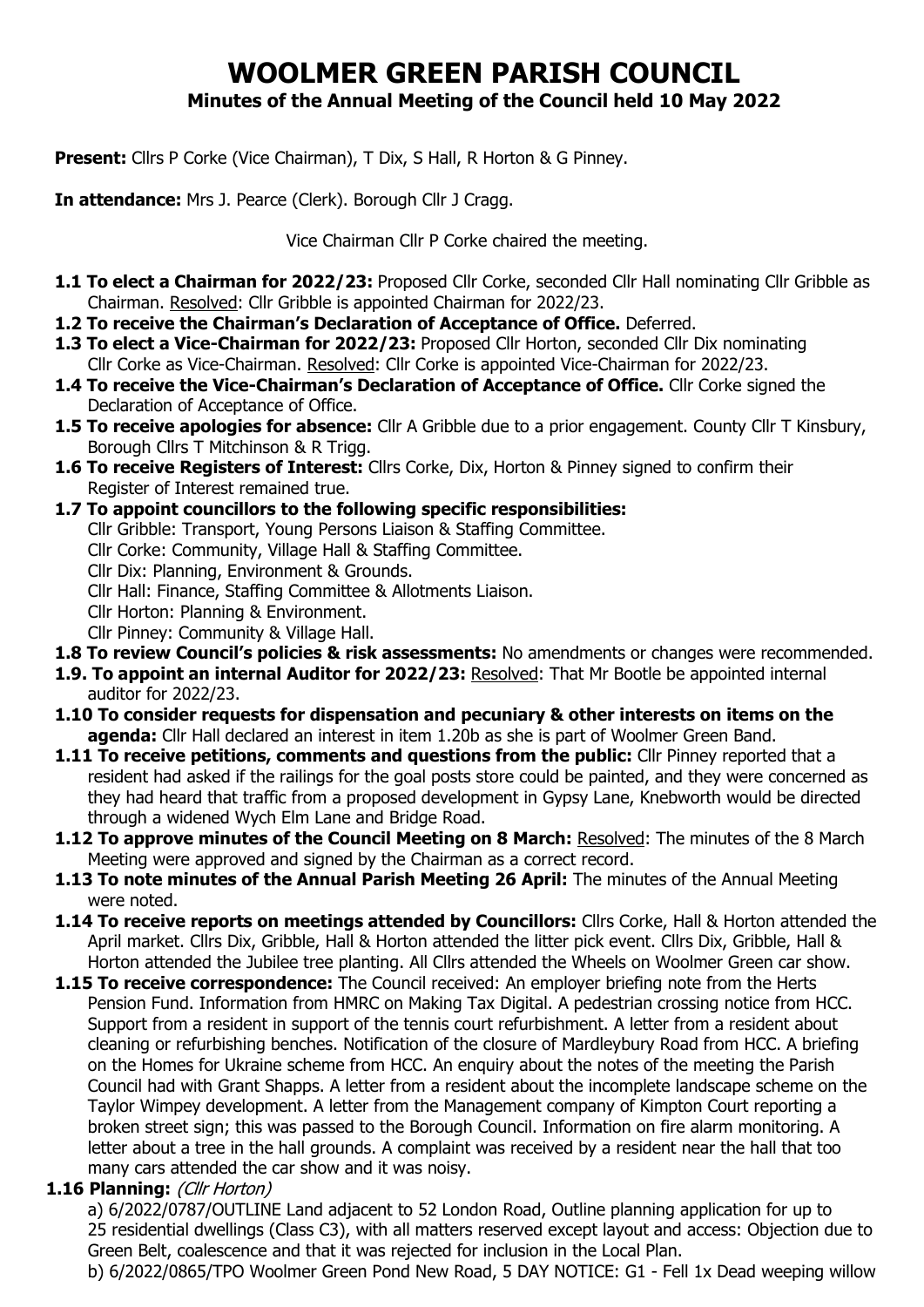# **WOOLMER GREEN PARISH COUNCIL Minutes of the Annual Meeting of the Council held 10 May 2022**

**Present:** Cllrs P Corke (Vice Chairman), T Dix, S Hall, R Horton & G Pinney.

**In attendance:** Mrs J. Pearce (Clerk). Borough Cllr J Cragg.

Vice Chairman Cllr P Corke chaired the meeting.

- **1.1 To elect a Chairman for 2022/23:** Proposed Cllr Corke, seconded Cllr Hall nominating Cllr Gribble as Chairman. Resolved: Cllr Gribble is appointed Chairman for 2022/23.
- **1.2 To receive the Chairman's Declaration of Acceptance of Office.** Deferred.
- **1.3 To elect a Vice-Chairman for 2022/23:** Proposed Cllr Horton, seconded Cllr Dix nominating Cllr Corke as Vice-Chairman. Resolved: Cllr Corke is appointed Vice-Chairman for 2022/23.
- **1.4 To receive the Vice-Chairman's Declaration of Acceptance of Office.** Cllr Corke signed the Declaration of Acceptance of Office.
- **1.5 To receive apologies for absence:** Cllr A Gribble due to a prior engagement. County Cllr T Kinsbury, Borough Cllrs T Mitchinson & R Trigg.
- **1.6 To receive Registers of Interest:** Cllrs Corke, Dix, Horton & Pinney signed to confirm their Register of Interest remained true.
- **1.7 To appoint councillors to the following specific responsibilities:** 
	- Cllr Gribble: Transport, Young Persons Liaison & Staffing Committee.
	- Cllr Corke: Community, Village Hall & Staffing Committee.
	- Cllr Dix: Planning, Environment & Grounds.
	- Cllr Hall: Finance, Staffing Committee & Allotments Liaison.
	- Cllr Horton: Planning & Environment.
	- Cllr Pinney: Community & Village Hall.
- **1.8 To review Council's policies & risk assessments:** No amendments or changes were recommended.
- **1.9. To appoint an internal Auditor for 2022/23:** Resolved: That Mr Bootle be appointed internal auditor for 2022/23.
- **1.10 To consider requests for dispensation and pecuniary & other interests on items on the agenda:** Cllr Hall declared an interest in item 1.20b as she is part of Woolmer Green Band.
- **1.11 To receive petitions, comments and questions from the public:** Cllr Pinney reported that a resident had asked if the railings for the goal posts store could be painted, and they were concerned as they had heard that traffic from a proposed development in Gypsy Lane, Knebworth would be directed through a widened Wych Elm Lane and Bridge Road.
- **1.12 To approve minutes of the Council Meeting on 8 March:** Resolved: The minutes of the 8 March Meeting were approved and signed by the Chairman as a correct record.
- **1.13 To note minutes of the Annual Parish Meeting 26 April:** The minutes of the Annual Meeting were noted.
- **1.14 To receive reports on meetings attended by Councillors:** Cllrs Corke, Hall & Horton attended the April market. Cllrs Dix, Gribble, Hall & Horton attended the litter pick event. Cllrs Dix, Gribble, Hall & Horton attended the Jubilee tree planting. All Cllrs attended the Wheels on Woolmer Green car show.
- **1.15 To receive correspondence:** The Council received: An employer briefing note from the Herts Pension Fund. Information from HMRC on Making Tax Digital. A pedestrian crossing notice from HCC. Support from a resident in support of the tennis court refurbishment. A letter from a resident about cleaning or refurbishing benches. Notification of the closure of Mardleybury Road from HCC. A briefing on the Homes for Ukraine scheme from HCC. An enquiry about the notes of the meeting the Parish Council had with Grant Shapps. A letter from a resident about the incomplete landscape scheme on the Taylor Wimpey development. A letter from the Management company of Kimpton Court reporting a broken street sign; this was passed to the Borough Council. Information on fire alarm monitoring. A letter about a tree in the hall grounds. A complaint was received by a resident near the hall that too many cars attended the car show and it was noisy.

## **1.16 Planning:** (Cllr Horton)

a) 6/2022/0787/OUTLINE Land adjacent to 52 London Road, Outline planning application for up to 25 residential dwellings (Class C3), with all matters reserved except layout and access: Objection due to Green Belt, coalescence and that it was rejected for inclusion in the Local Plan.

b) 6/2022/0865/TPO Woolmer Green Pond New Road, 5 DAY NOTICE: G1 - Fell 1x Dead weeping willow